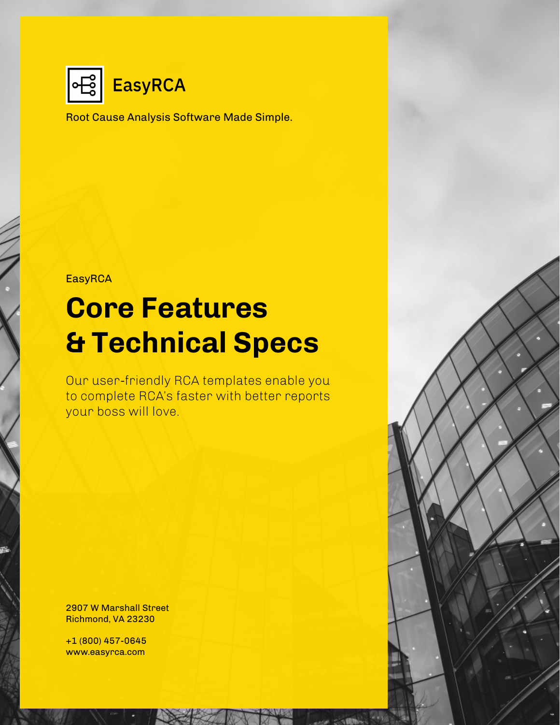

Root Cause Analysis Software Made Simple.

**EasyRCA** 

# **Core Features & Technical Specs**

Our user-friendly RCA templates enable you to complete RCA's faster with better reports your boss will love.

2907 W Marshall Street Richmond, VA 23230

+1 (800) 457-0645 www.easyrca.com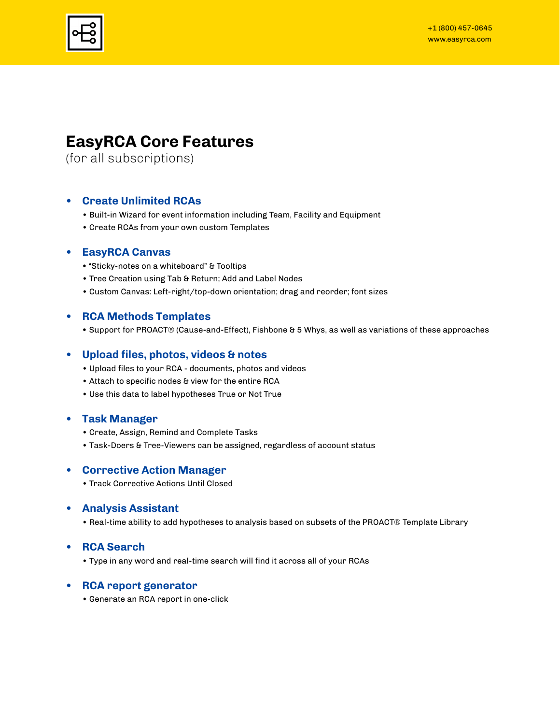

### **EasyRCA Core Features**

(for all subscriptions)

### **• Create Unlimited RCAs**

- Built-in Wizard for event information including Team, Facility and Equipment
- Create RCAs from your own custom Templates

### **• EasyRCA Canvas**

- "Sticky-notes on a whiteboard" & Tooltips
- Tree Creation using Tab & Return; Add and Label Nodes
- Custom Canvas: Left-right/top-down orientation; drag and reorder; font sizes

### **• RCA Methods Templates**

**•** Support for PROACT® (Cause-and-Effect), Fishbone & 5 Whys, as well as variations of these approaches

### **• Upload files, photos, videos & notes**

- Upload files to your RCA documents, photos and videos
- Attach to specific nodes & view for the entire RCA
- Use this data to label hypotheses True or Not True

### **• Task Manager**

- Create, Assign, Remind and Complete Tasks
- Task-Doers & Tree-Viewers can be assigned, regardless of account status

### **• Corrective Action Manager**

• Track Corrective Actions Until Closed

### **• Analysis Assistant**

• Real-time ability to add hypotheses to analysis based on subsets of the PROACT® Template Library

### **• RCA Search**

• Type in any word and real-time search will find it across all of your RCAs

### **• RCA report generator**

• Generate an RCA report in one-click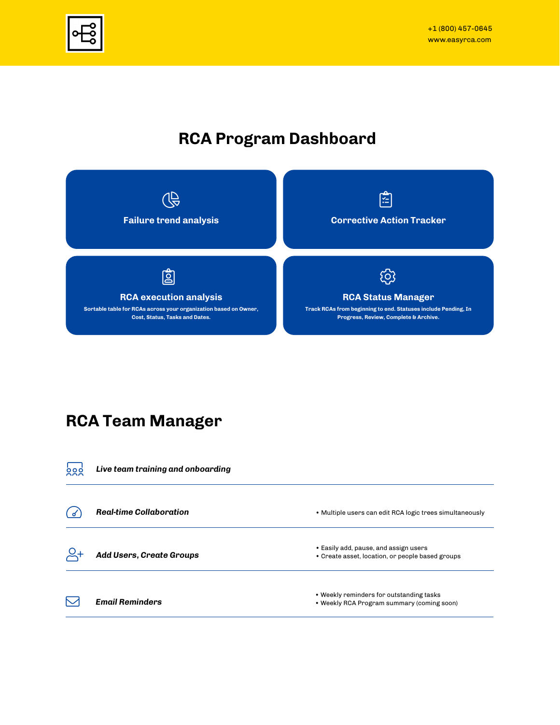

### **RCA Program Dashboard**



### **RCA Team Manager**

| စ္မွစ္က | Live team training and onboarding |                                                                                           |
|---------|-----------------------------------|-------------------------------------------------------------------------------------------|
|         | <b>Real-time Collaboration</b>    | • Multiple users can edit RCA logic trees simultaneously                                  |
|         | Add Users, Create Groups          | • Easily add, pause, and assign users<br>• Create asset, location, or people based groups |
|         | <b>Email Reminders</b>            | • Weekly reminders for outstanding tasks<br>• Weekly RCA Program summary (coming soon)    |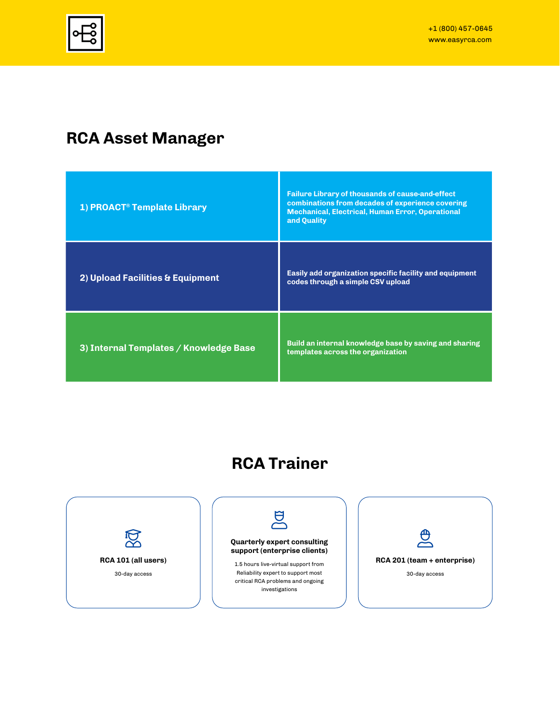### **RCA Asset Manager**

| 1) PROACT <sup>®</sup> Template Library | <b>Failure Library of thousands of cause-and-effect</b><br>combinations from decades of experience covering<br><b>Mechanical, Electrical, Human Error, Operational</b><br>and Ouality |
|-----------------------------------------|---------------------------------------------------------------------------------------------------------------------------------------------------------------------------------------|
| 2) Upload Facilities & Equipment        | Easily add organization specific facility and equipment<br>codes through a simple CSV upload                                                                                          |
| 3) Internal Templates / Knowledge Base  | Build an internal knowledge base by saving and sharing<br>templates across the organization                                                                                           |

# **RCA Trainer**

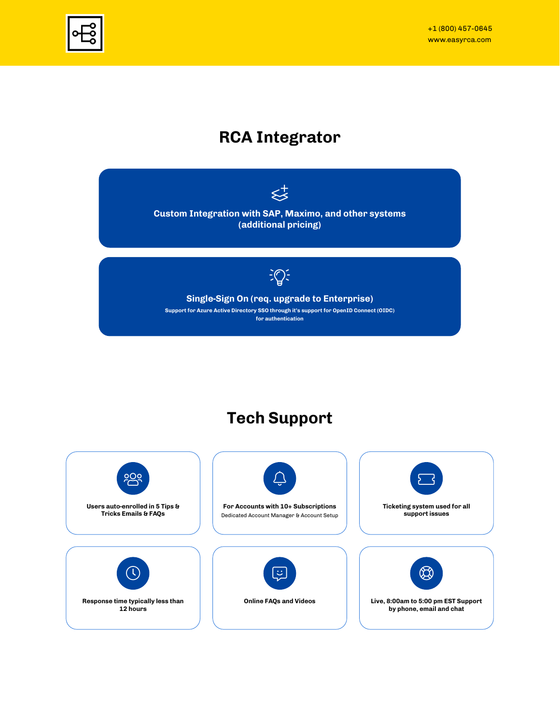

### **RCA Integrator**



## **Tech Support**